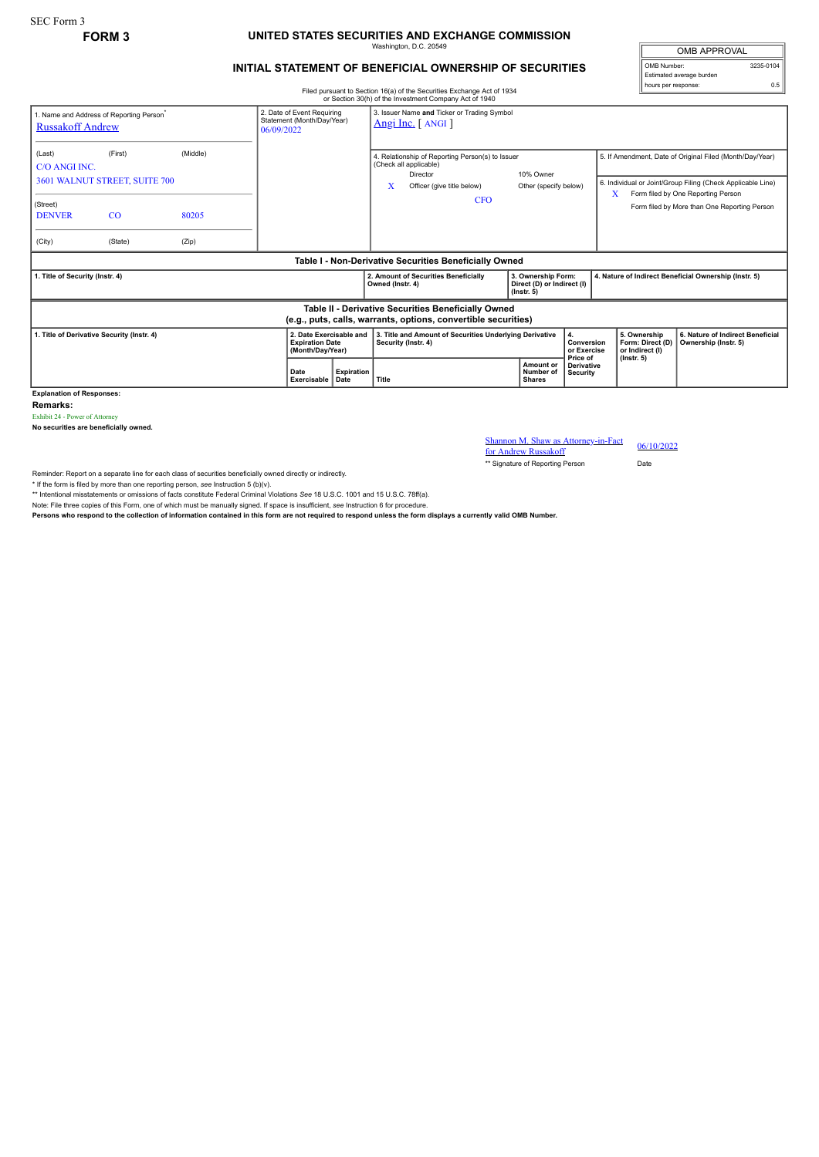## **FORM 3 UNITED STATES SECURITIES AND EXCHANGE COMMISSION** Washington, D.C. 20549

## **INITIAL STATEMENT OF BENEFICIAL OWNERSHIP OF SECURITIES**

Filed pursuant to Section 16(a) of the Securities Exchange Act of 1934

OMB APPROVAL OMB Number: 3235-0104 Estimated average burden hours per response: 0.5

|                                                                                                                                                           |                                          |          |                     |                           |                                                                                                                           | or Section 30(h) of the Investment Company Act of 1940 |                                                                      |                                           |                                                                                                                                                                    |                                                          |  |
|-----------------------------------------------------------------------------------------------------------------------------------------------------------|------------------------------------------|----------|---------------------|---------------------------|---------------------------------------------------------------------------------------------------------------------------|--------------------------------------------------------|----------------------------------------------------------------------|-------------------------------------------|--------------------------------------------------------------------------------------------------------------------------------------------------------------------|----------------------------------------------------------|--|
| 2. Date of Event Requiring<br>1. Name and Address of Reporting Person <sup>*</sup><br>Statement (Month/Day/Year)<br><b>Russakoff Andrew</b><br>06/09/2022 |                                          |          |                     |                           | 3. Issuer Name and Ticker or Trading Symbol<br>$Angi Inc.$ [ ANGI ]                                                       |                                                        |                                                                      |                                           |                                                                                                                                                                    |                                                          |  |
| (Last)<br>C/O ANGI INC.                                                                                                                                   | (First)<br>3601 WALNUT STREET, SUITE 700 | (Middle) |                     |                           | 4. Relationship of Reporting Person(s) to Issuer<br>(Check all applicable)<br>Director<br>x<br>Officer (give title below) |                                                        | 10% Owner<br>Other (specify below)                                   |                                           | 5. If Amendment, Date of Original Filed (Month/Day/Year)<br>6. Individual or Joint/Group Filing (Check Applicable Line)<br>X<br>Form filed by One Reporting Person |                                                          |  |
| (Street)<br><b>DENVER</b>                                                                                                                                 | $_{\rm CO}$                              | 80205    |                     |                           |                                                                                                                           | <b>CFO</b>                                             |                                                                      |                                           |                                                                                                                                                                    | Form filed by More than One Reporting Person             |  |
| (City)                                                                                                                                                    | (State)                                  | (Zip)    |                     |                           |                                                                                                                           |                                                        |                                                                      |                                           |                                                                                                                                                                    |                                                          |  |
| Table I - Non-Derivative Securities Beneficially Owned                                                                                                    |                                          |          |                     |                           |                                                                                                                           |                                                        |                                                                      |                                           |                                                                                                                                                                    |                                                          |  |
| . Title of Security (Instr. 4)                                                                                                                            |                                          |          |                     |                           | Owned (Instr. 4)                                                                                                          | 2. Amount of Securities Beneficially                   | 3. Ownership Form:<br>Direct (D) or Indirect (I)<br>$($ lnstr. 5 $)$ |                                           | 4. Nature of Indirect Beneficial Ownership (Instr. 5)                                                                                                              |                                                          |  |
| Table II - Derivative Securities Beneficially Owned<br>(e.g., puts, calls, warrants, options, convertible securities)                                     |                                          |          |                     |                           |                                                                                                                           |                                                        |                                                                      |                                           |                                                                                                                                                                    |                                                          |  |
| 1. Title of Derivative Security (Instr. 4)<br>2. Date Exercisable and<br><b>Expiration Date</b><br>(Month/Day/Year)                                       |                                          |          |                     |                           | 3. Title and Amount of Securities Underlying Derivative<br>Security (Instr. 4)                                            |                                                        |                                                                      | 4.<br>Conversion<br>or Exercise           | 5. Ownership<br>Form: Direct (D)<br>or Indirect (I)                                                                                                                | 6. Nature of Indirect Beneficial<br>Ownership (Instr. 5) |  |
|                                                                                                                                                           |                                          |          | Date<br>Exercisable | <b>Expiration</b><br>Date | Title                                                                                                                     |                                                        | Amount or<br>Number of<br><b>Shares</b>                              | Price of<br><b>Derivative</b><br>Security | $($ lnstr. 5 $)$                                                                                                                                                   |                                                          |  |

**Explanation of Responses:**

**Remarks:**

Exhibit 24 - Power of Attorney

**No securities are beneficially owned.**

Shannon M. Shaw as Attorney-in-Fact<br>for Andrew Bussels of  $06/10/2022$ for Andrew Russakoff

\*\* Signature of Reporting Person Date

Reminder: Report on a separate line for each class of securities beneficially owned directly or indirectly.

\* If the form is filed by more than one reporting person, *see* Instruction 5 (b)(v).

\*\* Intentional misstatements or omissions of facts constitute Federal Criminal Violations *See* 18 U.S.C. 1001 and 15 U.S.C. 78ff(a). Note: File three copies of this Form, one of which must be manually signed. If space is insufficient, *see* Instruction 6 for procedure.

**Persons who respond to the collection of information contained in this form are not required to respond unless the form displays a currently valid OMB Number.**